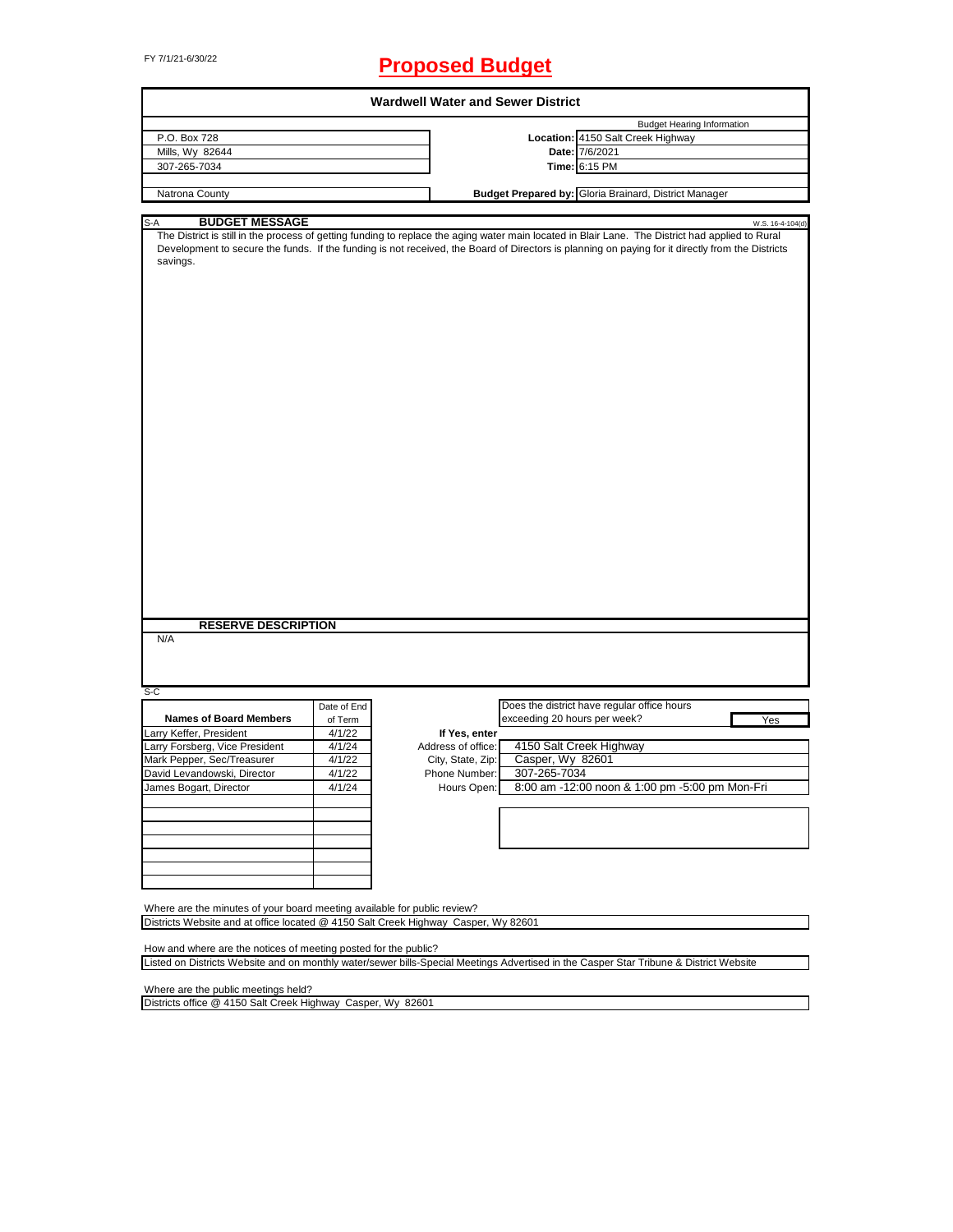# FY 7/1/21-6/30/22 **Proposed Budget**

| <b>Wardwell Water and Sewer District</b>                                                                                                                                                                                                                                                                         |             |                    |                              |                                                       |                  |  |  |
|------------------------------------------------------------------------------------------------------------------------------------------------------------------------------------------------------------------------------------------------------------------------------------------------------------------|-------------|--------------------|------------------------------|-------------------------------------------------------|------------------|--|--|
|                                                                                                                                                                                                                                                                                                                  |             |                    |                              | <b>Budget Hearing Information</b>                     |                  |  |  |
| P.O. Box 728                                                                                                                                                                                                                                                                                                     |             |                    |                              | Location: 4150 Salt Creek Highway                     |                  |  |  |
| Mills, Wy 82644                                                                                                                                                                                                                                                                                                  |             |                    |                              | Date: 7/6/2021                                        |                  |  |  |
| 307-265-7034                                                                                                                                                                                                                                                                                                     |             |                    |                              | Time: 6:15 PM                                         |                  |  |  |
| Natrona County                                                                                                                                                                                                                                                                                                   |             |                    |                              | Budget Prepared by: Gloria Brainard, District Manager |                  |  |  |
|                                                                                                                                                                                                                                                                                                                  |             |                    |                              |                                                       |                  |  |  |
| <b>BUDGET MESSAGE</b><br>S-A                                                                                                                                                                                                                                                                                     |             |                    |                              |                                                       | W.S. 16-4-104(d) |  |  |
| The District is still in the process of getting funding to replace the aging water main located in Blair Lane. The District had applied to Rural<br>Development to secure the funds. If the funding is not received, the Board of Directors is planning on paying for it directly from the Districts<br>savings. |             |                    |                              |                                                       |                  |  |  |
| <b>RESERVE DESCRIPTION</b><br>N/A                                                                                                                                                                                                                                                                                |             |                    |                              |                                                       |                  |  |  |
| $S-C$                                                                                                                                                                                                                                                                                                            |             |                    |                              |                                                       |                  |  |  |
|                                                                                                                                                                                                                                                                                                                  | Date of End |                    |                              | Does the district have regular office hours           |                  |  |  |
| <b>Names of Board Members</b>                                                                                                                                                                                                                                                                                    | of Term     |                    | exceeding 20 hours per week? |                                                       | Yes              |  |  |
| Larry Keffer, President                                                                                                                                                                                                                                                                                          | 4/1/22      | If Yes, enter      |                              |                                                       |                  |  |  |
| Larry Forsberg, Vice President                                                                                                                                                                                                                                                                                   | 4/1/24      | Address of office: |                              | 4150 Salt Creek Highway                               |                  |  |  |
| Mark Pepper, Sec/Treasurer                                                                                                                                                                                                                                                                                       | 4/1/22      | City, State, Zip:  | Casper, Wy 82601             |                                                       |                  |  |  |
| David Levandowski, Director                                                                                                                                                                                                                                                                                      | 4/1/22      | Phone Number:      | 307-265-7034                 |                                                       |                  |  |  |
| James Bogart, Director                                                                                                                                                                                                                                                                                           | 4/1/24      | Hours Open:        |                              | 8:00 am -12:00 noon & 1:00 pm -5:00 pm Mon-Fri        |                  |  |  |
|                                                                                                                                                                                                                                                                                                                  |             |                    |                              |                                                       |                  |  |  |
|                                                                                                                                                                                                                                                                                                                  |             |                    |                              |                                                       |                  |  |  |
|                                                                                                                                                                                                                                                                                                                  |             |                    |                              |                                                       |                  |  |  |
|                                                                                                                                                                                                                                                                                                                  |             |                    |                              |                                                       |                  |  |  |
|                                                                                                                                                                                                                                                                                                                  |             |                    |                              |                                                       |                  |  |  |
|                                                                                                                                                                                                                                                                                                                  |             |                    |                              |                                                       |                  |  |  |
| Where are the minutes of your board meeting available for public review?                                                                                                                                                                                                                                         |             |                    |                              |                                                       |                  |  |  |
| Districts Website and at office located @ 4150 Salt Creek Highway Casper, Wy 82601                                                                                                                                                                                                                               |             |                    |                              |                                                       |                  |  |  |
|                                                                                                                                                                                                                                                                                                                  |             |                    |                              |                                                       |                  |  |  |
| How and where are the notices of meeting posted for the public?                                                                                                                                                                                                                                                  |             |                    |                              |                                                       |                  |  |  |
| Listed on Districts Website and on monthly water/sewer bills-Special Meetings Advertised in the Casper Star Tribune & District Website                                                                                                                                                                           |             |                    |                              |                                                       |                  |  |  |

Where are the public meetings held?

Districts office @ 4150 Salt Creek Highway Casper, Wy 82601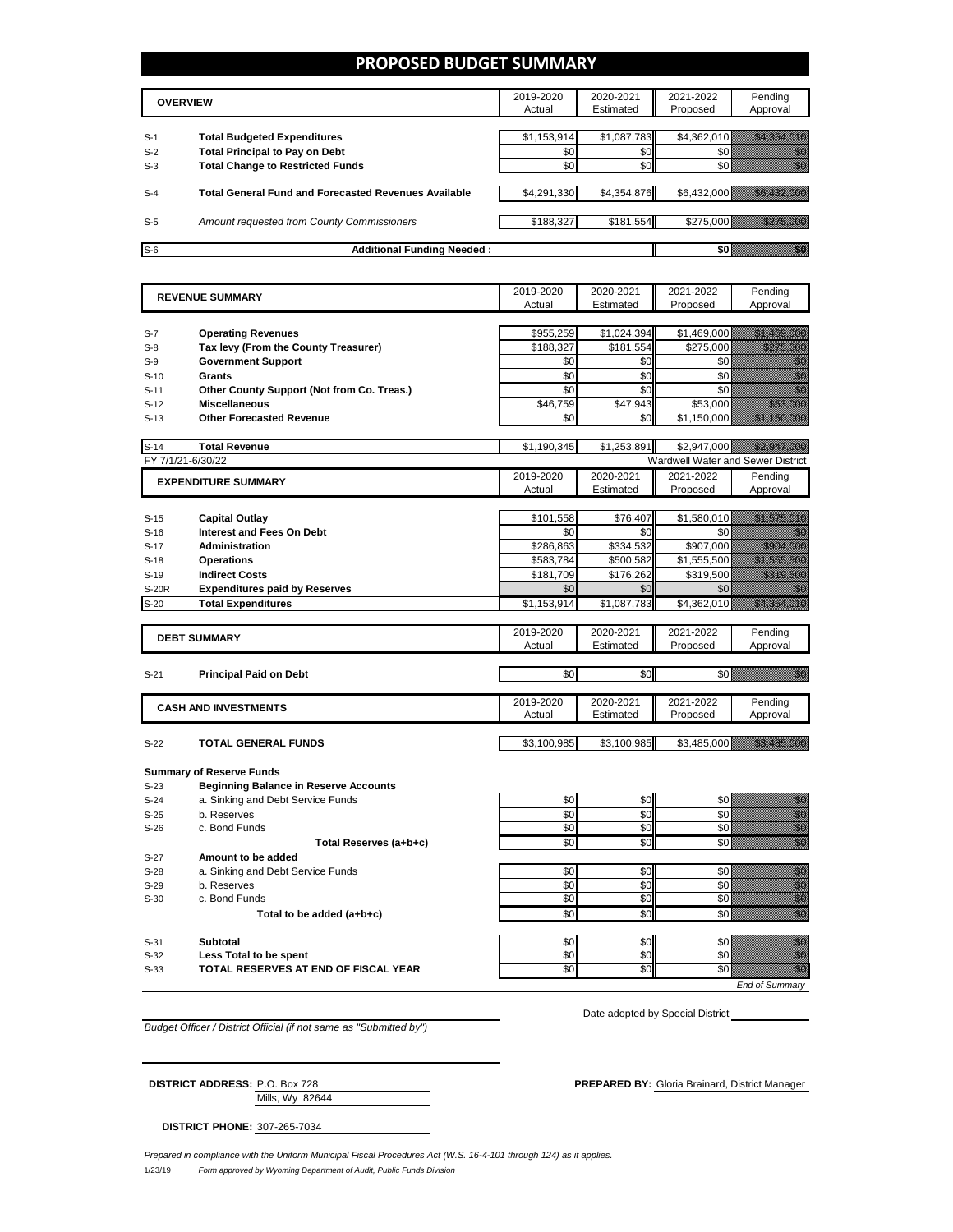#### **PROPOSED BUDGET SUMMARY**

|       | <b>OVERVIEW</b>                                             | 2019-2020<br>Actual | 2020-2021<br>Estimated | 2021-2022<br>Proposed | Pending<br>Approval |
|-------|-------------------------------------------------------------|---------------------|------------------------|-----------------------|---------------------|
| $S-1$ | <b>Total Budgeted Expenditures</b>                          | \$1,153,914         | \$1,087,783            | \$4,362,010           |                     |
| $S-2$ | <b>Total Principal to Pay on Debt</b>                       | \$0                 | \$0 <sub>1</sub>       |                       |                     |
| $S-3$ | <b>Total Change to Restricted Funds</b>                     | \$0                 | \$0                    |                       |                     |
|       |                                                             |                     |                        |                       |                     |
| $S-4$ | <b>Total General Fund and Forecasted Revenues Available</b> | \$4,291,330         | \$4,354,876            | \$6,432,000           |                     |
|       |                                                             |                     |                        |                       |                     |
| $S-5$ | Amount requested from County Commissioners                  | \$188,327           | \$181,554              | \$275,000             |                     |
|       |                                                             |                     |                        |                       |                     |
| $S-6$ | <b>Additional Funding Needed:</b>                           |                     |                        |                       |                     |

|                   | <b>REVENUE SUMMARY</b>                                         | 2019-2020           | 2020-2021              | 2021-2022                         | Pending                                                                                                                                                                                                                                                                                                                                                                                                                                                             |
|-------------------|----------------------------------------------------------------|---------------------|------------------------|-----------------------------------|---------------------------------------------------------------------------------------------------------------------------------------------------------------------------------------------------------------------------------------------------------------------------------------------------------------------------------------------------------------------------------------------------------------------------------------------------------------------|
|                   |                                                                | Actual              | Estimated              | Proposed                          | Approval                                                                                                                                                                                                                                                                                                                                                                                                                                                            |
|                   |                                                                |                     |                        |                                   |                                                                                                                                                                                                                                                                                                                                                                                                                                                                     |
| $S-7$             | <b>Operating Revenues</b>                                      | \$955,259           | \$1,024,394            | \$1,469,000                       |                                                                                                                                                                                                                                                                                                                                                                                                                                                                     |
| $S-8$             | Tax levy (From the County Treasurer)                           | \$188,327           | \$181,554              | \$275,000                         |                                                                                                                                                                                                                                                                                                                                                                                                                                                                     |
| $S-9$             | <b>Government Support</b>                                      | \$0                 | \$0                    | \$0                               | en de la familie de la familie de la familie de la familie de la familie de la familie de la familie de la fam<br>De la familie de la familie de la familie de la familie de la familie de la familie de la familie de la famili                                                                                                                                                                                                                                    |
| $S-10$            | <b>Grants</b>                                                  | \$0                 | \$0                    | \$0                               | en de la familie de la familie de la familie de la familie de la familie de la familie de la familie de la fam<br>Estatubat de la familie de la familie de la familie de la familie de la familie de la familie de la familie de                                                                                                                                                                                                                                    |
| $S-11$            | Other County Support (Not from Co. Treas.)                     | \$0                 | \$0                    | \$0                               | en de la familie de la familie de la familie de la familie de la familie de la familie de la familie de la fa<br>Espainia                                                                                                                                                                                                                                                                                                                                           |
| $S-12$            | <b>Miscellaneous</b>                                           | \$46,759            | \$47,943               | \$53,000                          | <u> Hillisoon</u>                                                                                                                                                                                                                                                                                                                                                                                                                                                   |
| $S-13$            | <b>Other Forecasted Revenue</b>                                | \$0                 | \$0                    | \$1,150,000                       | <u>Million Maria San Si</u>                                                                                                                                                                                                                                                                                                                                                                                                                                         |
| $S-14$            | <b>Total Revenue</b>                                           | \$1,190,345         | \$1,253,891            | \$2,947,000                       |                                                                                                                                                                                                                                                                                                                                                                                                                                                                     |
| FY 7/1/21-6/30/22 |                                                                |                     |                        | Wardwell Water and Sewer District |                                                                                                                                                                                                                                                                                                                                                                                                                                                                     |
|                   |                                                                | 2019-2020           | 2020-2021              | 2021-2022                         | Pending                                                                                                                                                                                                                                                                                                                                                                                                                                                             |
|                   | <b>EXPENDITURE SUMMARY</b>                                     | Actual              | Estimated              | Proposed                          | Approval                                                                                                                                                                                                                                                                                                                                                                                                                                                            |
|                   |                                                                |                     |                        |                                   |                                                                                                                                                                                                                                                                                                                                                                                                                                                                     |
| $S-15$            | <b>Capital Outlay</b>                                          | \$101,558           | \$76,407               | \$1,580,010                       | <u> Martin Martin Sa</u>                                                                                                                                                                                                                                                                                                                                                                                                                                            |
| $S-16$            | <b>Interest and Fees On Debt</b>                               | \$0                 | \$0                    | \$0                               | 1999                                                                                                                                                                                                                                                                                                                                                                                                                                                                |
| $S-17$            | <b>Administration</b>                                          | \$286,863           | \$334,532              | \$907,000                         |                                                                                                                                                                                                                                                                                                                                                                                                                                                                     |
| $S-18$            | <b>Operations</b>                                              | \$583,784           | \$500,582              | \$1,555,500                       | <u> Martin Salah Ba</u>                                                                                                                                                                                                                                                                                                                                                                                                                                             |
| $S-19$            | <b>Indirect Costs</b>                                          | \$181,709           | \$176,262              | \$319,500                         | <u>tiko hauteko</u>                                                                                                                                                                                                                                                                                                                                                                                                                                                 |
| <b>S-20R</b>      | <b>Expenditures paid by Reserves</b>                           | \$0                 | \$0                    | \$0                               |                                                                                                                                                                                                                                                                                                                                                                                                                                                                     |
| $S-20$            | <b>Total Expenditures</b>                                      | \$1,153,914         | \$1,087,783            | \$4,362,010                       | <u> Hallistin kolmist</u>                                                                                                                                                                                                                                                                                                                                                                                                                                           |
|                   |                                                                |                     |                        |                                   |                                                                                                                                                                                                                                                                                                                                                                                                                                                                     |
|                   | <b>DEBT SUMMARY</b>                                            | 2019-2020           | 2020-2021              | 2021-2022                         | Pending                                                                                                                                                                                                                                                                                                                                                                                                                                                             |
|                   |                                                                | Actual              | Estimated              | Proposed                          | Approval                                                                                                                                                                                                                                                                                                                                                                                                                                                            |
|                   |                                                                |                     |                        |                                   |                                                                                                                                                                                                                                                                                                                                                                                                                                                                     |
| $S-21$            | <b>Principal Paid on Debt</b>                                  | \$0                 | \$0                    | \$0                               | ga kalendari daga kalendari daga kalendari daga kalendari daga kalendari daga kalendari daga kalendari daga ka<br>Kalendari daga kalendari daga kalendari daga kalendari daga kalendari daga kalendari daga kalendari daga kalen<br>                                                                                                                                                                                                                                |
|                   |                                                                |                     |                        |                                   |                                                                                                                                                                                                                                                                                                                                                                                                                                                                     |
|                   |                                                                |                     |                        |                                   |                                                                                                                                                                                                                                                                                                                                                                                                                                                                     |
|                   | <b>CASH AND INVESTMENTS</b>                                    | 2019-2020<br>Actual | 2020-2021<br>Estimated | 2021-2022                         | Pending                                                                                                                                                                                                                                                                                                                                                                                                                                                             |
|                   |                                                                |                     |                        | Proposed                          | Approval                                                                                                                                                                                                                                                                                                                                                                                                                                                            |
| $S-22$            | <b>TOTAL GENERAL FUNDS</b>                                     | \$3,100,985         | \$3,100,985            | \$3,485,000                       | <u> Hallandin Sara</u>                                                                                                                                                                                                                                                                                                                                                                                                                                              |
|                   |                                                                |                     |                        |                                   |                                                                                                                                                                                                                                                                                                                                                                                                                                                                     |
|                   | <b>Summary of Reserve Funds</b>                                |                     |                        |                                   |                                                                                                                                                                                                                                                                                                                                                                                                                                                                     |
| $S-23$            | <b>Beginning Balance in Reserve Accounts</b>                   |                     |                        |                                   |                                                                                                                                                                                                                                                                                                                                                                                                                                                                     |
| $S-24$            | a. Sinking and Debt Service Funds                              | \$0                 | \$0                    | \$0                               | en de la familie de la familie de la familie de la familie de la familie de la familie de la familie de la fam<br>Constitution de la familie de la familie de la familie de la familie de la familie de la familie de la familie                                                                                                                                                                                                                                    |
| $S-25$<br>$S-26$  | b. Reserves<br>c. Bond Funds                                   | \$0<br>\$0          | \$0<br>\$0             | \$0<br>\$0                        | en de la familie de la familie de la familie de la familie de la familie de la familie de la familie de la fam<br>Constituit de la familie de la familie de la familie de la familie de la familie de la familie de la familie d                                                                                                                                                                                                                                    |
|                   |                                                                | \$0                 |                        |                                   | en en de la familie de la familie de la familie de la familie de la familie de la familie de la familie de la<br>Constitution de la familie de la familie de la familie de la familie de la familie de la familie de la familie                                                                                                                                                                                                                                     |
|                   | Total Reserves (a+b+c)<br>Amount to be added                   |                     | \$0                    | \$0                               | en de la familie de la familie de la familie de la familie de la familie de la familie de la familie de la fa<br>Constitution de la familie de la familie de la familie de la familie de la familie de la familie de la familie                                                                                                                                                                                                                                     |
| $S-27$            |                                                                |                     |                        |                                   |                                                                                                                                                                                                                                                                                                                                                                                                                                                                     |
| $S-28$<br>$S-29$  | a. Sinking and Debt Service Funds<br>b. Reserves               | \$0<br>\$0          | \$0<br>\$0             | \$0<br>\$0                        |                                                                                                                                                                                                                                                                                                                                                                                                                                                                     |
| $S-30$            | c. Bond Funds                                                  | \$0                 | \$0                    | \$0                               |                                                                                                                                                                                                                                                                                                                                                                                                                                                                     |
|                   | Total to be added (a+b+c)                                      | \$0                 | \$0                    | \$0                               | e de la composición de la composición de la composición de la composición de la composición de la composición<br>Composición de la composición de la composición de la composición de la composición de la composición de la co<br>en<br>Maria                                                                                                                                                                                                                      |
|                   |                                                                |                     |                        |                                   |                                                                                                                                                                                                                                                                                                                                                                                                                                                                     |
| $S-31$            | <b>Subtotal</b>                                                | \$0                 | \$0                    | \$0                               |                                                                                                                                                                                                                                                                                                                                                                                                                                                                     |
| $S-32$<br>$S-33$  | Less Total to be spent<br>TOTAL RESERVES AT END OF FISCAL YEAR | \$0<br>\$0          | \$0<br>\$0             | \$0<br>\$0                        | e de la provincia de la provincia de la provincia de la provincia de la provincia de la provincia de la provin<br>Constituit de la provincia de la provincia de la provincia de la provincia de la provincia de la provincia de<br>en de la falsa de la falsa de la falsa de la falsa de la falsa de la falsa de la falsa de la falsa de la falsa<br>El falsa de la falsa de la falsa de la falsa de la falsa de la falsa de la falsa de la falsa de la falsa de la |

*Budget Officer / District Official (if not same as "Submitted by")*

Date adopted by Special District

| <b>DISTRICT ADDRESS: P.O. Box 728</b> |                 |  |
|---------------------------------------|-----------------|--|
|                                       | Mills, Wy 82644 |  |
|                                       |                 |  |

**DISTRICT PHONE:** 307-265-7034

**DISTRICT ADDRESS:** P.O. Box 728 **PREPARED BY:** Gloria Brainard, District Manager

*End of Summary*

1/23/19 *Form approved by Wyoming Department of Audit, Public Funds Division Prepared in compliance with the Uniform Municipal Fiscal Procedures Act (W.S. 16-4-101 through 124) as it applies.*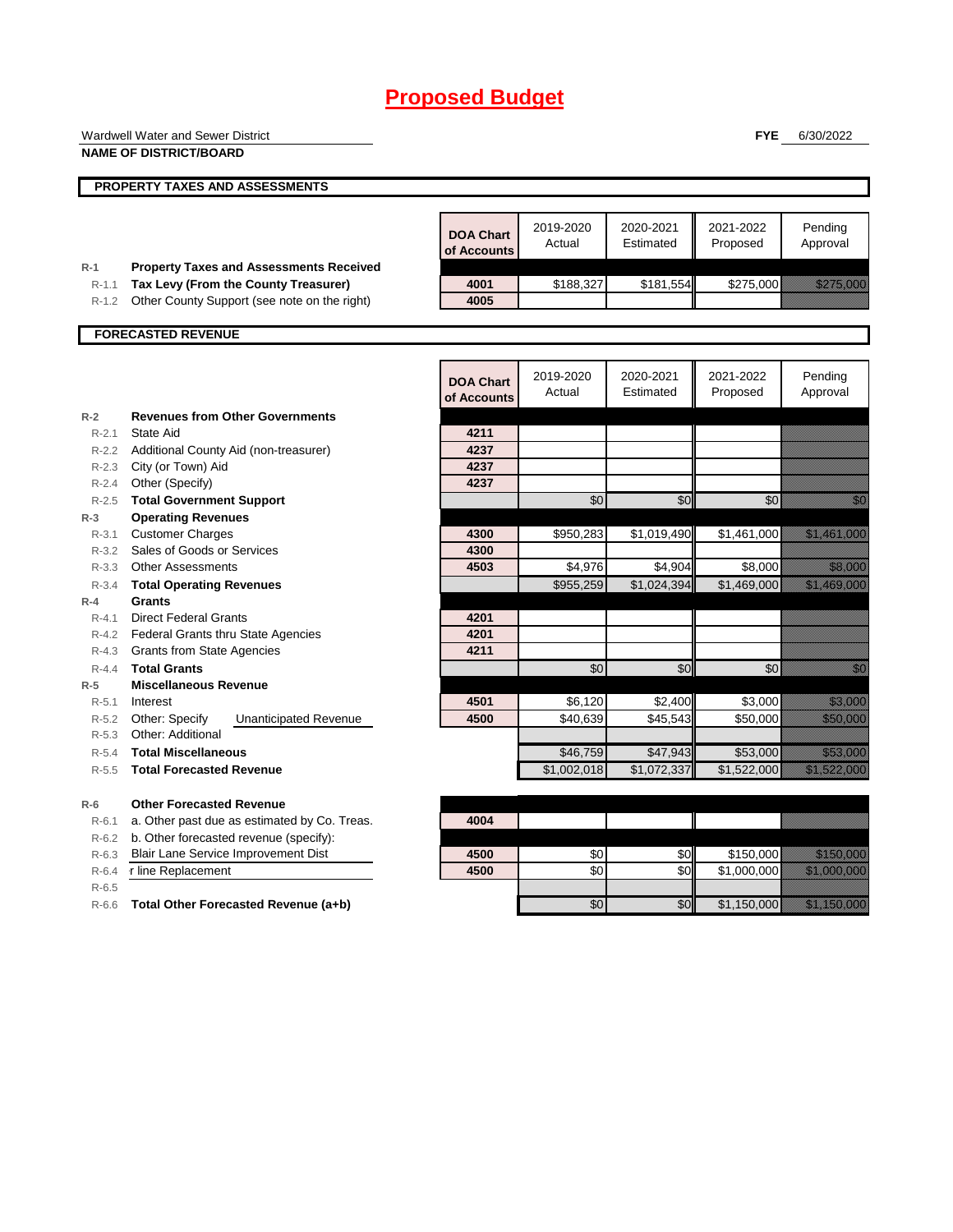|           | <b>Wardwell Water and Sewer District</b>       |                  |                     |                        | <b>FYE</b>            | 6/30/2022                                                                                                            |
|-----------|------------------------------------------------|------------------|---------------------|------------------------|-----------------------|----------------------------------------------------------------------------------------------------------------------|
|           | <b>NAME OF DISTRICT/BOARD</b>                  |                  |                     |                        |                       |                                                                                                                      |
|           | PROPERTY TAXES AND ASSESSMENTS                 |                  |                     |                        |                       |                                                                                                                      |
|           |                                                |                  |                     |                        |                       |                                                                                                                      |
|           |                                                | <b>DOA Chart</b> | 2019-2020<br>Actual | 2020-2021<br>Estimated | 2021-2022<br>Proposed | Pending<br>Approval                                                                                                  |
|           |                                                | of Accounts      |                     |                        |                       |                                                                                                                      |
| $R-1$     | <b>Property Taxes and Assessments Received</b> |                  |                     |                        |                       |                                                                                                                      |
| $R-1.1$   | Tax Levy (From the County Treasurer)           | 4001             | \$188,327           | \$181,554              | \$275,000             | <u>Till fram Stall</u>                                                                                               |
| $R - 1.2$ | Other County Support (see note on the right)   | 4005             |                     |                        |                       |                                                                                                                      |
|           | <b>FORECASTED REVENUE</b>                      |                  |                     |                        |                       |                                                                                                                      |
|           |                                                |                  |                     |                        |                       |                                                                                                                      |
|           |                                                | <b>DOA Chart</b> | 2019-2020           | 2020-2021              | 2021-2022             | Pending                                                                                                              |
|           |                                                | of Accounts      | Actual              | Estimated              | Proposed              | Approval                                                                                                             |
| $R-2$     | <b>Revenues from Other Governments</b>         |                  |                     |                        |                       |                                                                                                                      |
| $R - 2.1$ | <b>State Aid</b>                               | 4211             |                     |                        |                       |                                                                                                                      |
|           | R-2.2 Additional County Aid (non-treasurer)    | 4237             |                     |                        |                       |                                                                                                                      |
| $R - 2.3$ | City (or Town) Aid                             | 4237             |                     |                        |                       |                                                                                                                      |
| $R - 2.4$ | Other (Specify)                                | 4237             |                     |                        |                       |                                                                                                                      |
| $R - 2.5$ | <b>Total Government Support</b>                |                  | \$0                 | \$0                    | \$0                   |                                                                                                                      |
| $R-3$     | <b>Operating Revenues</b>                      |                  |                     |                        |                       |                                                                                                                      |
| $R - 3.1$ | <b>Customer Charges</b>                        | 4300             | \$950,283           | \$1,019,490            | \$1,461,000           | <u> Elizabeth Carlottan (</u>                                                                                        |
| R-3.2     | Sales of Goods or Services                     | 4300             |                     |                        |                       |                                                                                                                      |
| $R - 3.3$ | <b>Other Assessments</b>                       | 4503             | \$4,976             | \$4,904                | \$8,000               | <u> Kalendaria (</u>                                                                                                 |
| $R - 3.4$ | <b>Total Operating Revenues</b>                |                  | \$955,259           | \$1,024,394            | \$1,469,000           | <u> Elizabeth Charles Charles Charles Charles Charles Charles Charles Charles Charles Charles Charles Charles Ch</u> |
| $R-4$     | <b>Grants</b>                                  |                  |                     |                        |                       |                                                                                                                      |
| $R - 4.1$ | <b>Direct Federal Grants</b>                   | 4201             |                     |                        |                       |                                                                                                                      |
|           | R-4.2 Federal Grants thru State Agencies       | 4201             |                     |                        |                       |                                                                                                                      |
| $R - 4.3$ | <b>Grants from State Agencies</b>              | 4211             |                     |                        |                       |                                                                                                                      |
| $R - 4.4$ | <b>Total Grants</b>                            |                  | \$0                 | \$0                    | \$0                   |                                                                                                                      |
| $R-5$     | <b>Miscellaneous Revenue</b>                   |                  |                     |                        |                       |                                                                                                                      |
| R-5.1     | Interest                                       | 4501             | \$6,120             | \$2,400                | \$3,000               | <u> Mariji Sarajev</u>                                                                                               |
| $R - 5.2$ | Other: Specify<br><b>Unanticipated Revenue</b> | 4500             | \$40,639            | \$45,543               | \$50,000              | <u> Kabupatèn Indonesia</u>                                                                                          |
| $R - 5.3$ | Other: Additional                              |                  |                     |                        |                       |                                                                                                                      |
| $R - 5.4$ | <b>Total Miscellaneous</b>                     |                  | \$46,759            | \$47,943               | \$53,000              | <u> Kalendaria (h. 1</u>                                                                                             |
| $R - 5.5$ | <b>Total Forecasted Revenue</b>                |                  | \$1,002,018         | \$1,072,337            | \$1,522,000           | <u> Kalifornia (h. 1888).</u>                                                                                        |
| $R-6$     | <b>Other Forecasted Revenue</b>                |                  |                     |                        |                       |                                                                                                                      |
| R-6.1     | a. Other past due as estimated by Co. Treas.   | 4004             |                     |                        |                       |                                                                                                                      |
| $R-6.2$   | b. Other forecasted revenue (specify):         |                  |                     |                        |                       |                                                                                                                      |
| $R-6.3$   | Blair Lane Service Improvement Dist            | 4500             | \$0                 | \$0                    | \$150,000             | <u> Historiano e provincia de la conte</u>                                                                           |
| $R-6.4$   | r line Replacement                             | 4500             | \$0                 | \$0                    | \$1,000,000           | <u> Elizabeth Carl</u>                                                                                               |
| $R-6.5$   |                                                |                  |                     |                        |                       |                                                                                                                      |
|           | Total Other Forecasted Revenue (a+b)           |                  | \$0                 | \$0                    | \$1,150,000           | <u> Elizabeth Constantinople and the Constantinople and the Constantinople and the Constantinople and the Consta</u> |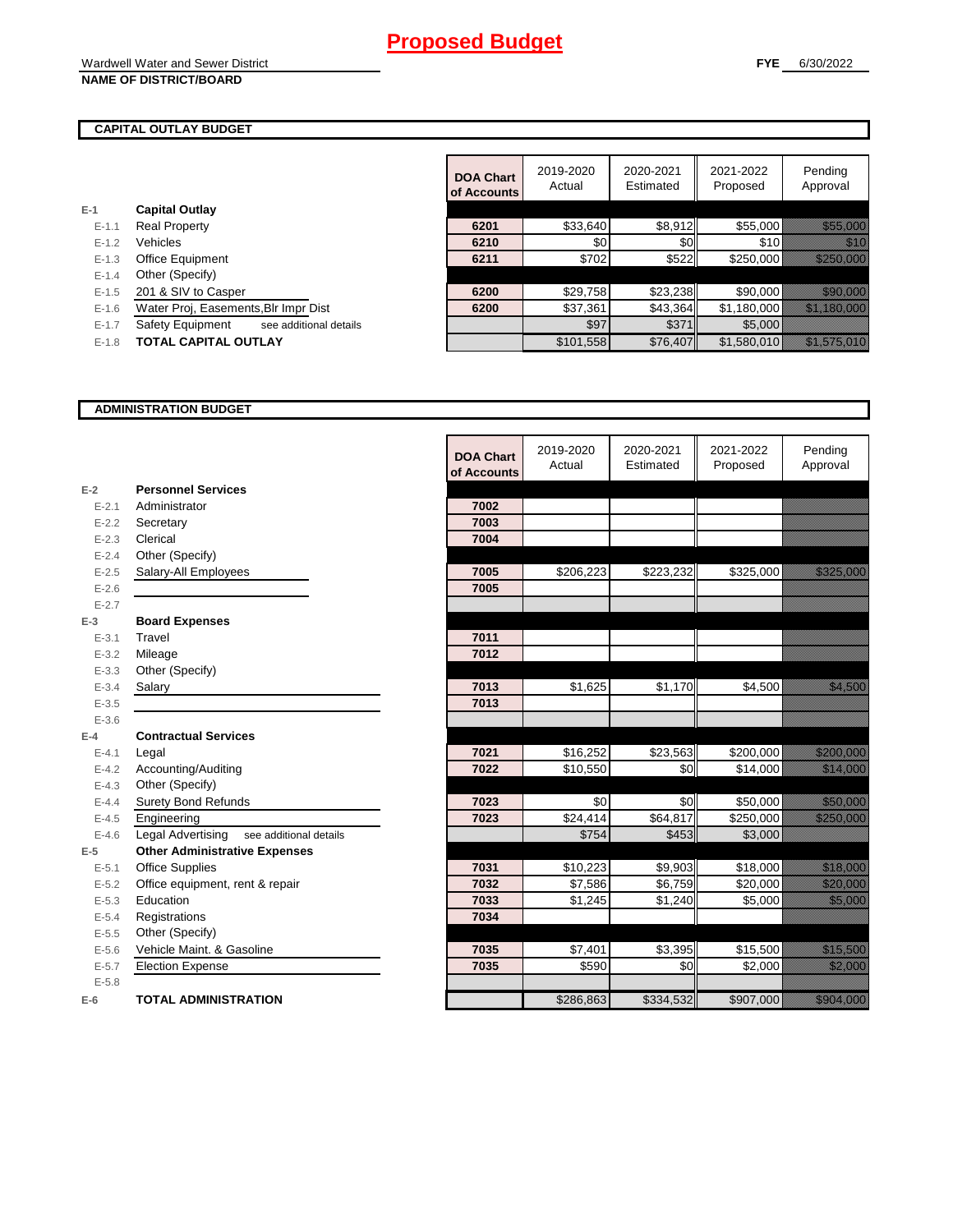#### **CAPITAL OUTLAY BUDGET**

**E-1**

|           |                                            | <b>DOA Chart</b><br>of Accounts | 2019-2020<br>Actual | 2020-2021<br>Estimated | 2021-2022<br>Proposed | Pending<br>Approval                    |
|-----------|--------------------------------------------|---------------------------------|---------------------|------------------------|-----------------------|----------------------------------------|
| -1        | <b>Capital Outlay</b>                      |                                 |                     |                        |                       |                                        |
| $E - 1.1$ | <b>Real Property</b>                       | 6201                            | \$33,640            | \$8,912                | \$55,000              | <u> Karl Karl Sara</u>                 |
| $E-1.2$   | Vehicles                                   | 6210                            | \$0                 | \$0                    | \$10                  | <u> Milli</u>                          |
| $E-1.3$   | <b>Office Equipment</b>                    | 6211                            | \$702               | \$522                  | \$250,000             |                                        |
| $E-1.4$   | Other (Specify)                            |                                 |                     |                        |                       |                                        |
| $E - 1.5$ | 201 & SIV to Casper                        | 6200                            | \$29,758            | \$23,238               | \$90,000              | <u> Karl Sara</u>                      |
| $E - 1.6$ | Water Proj, Easements, Blr Impr Dist       | 6200                            | \$37.361            | \$43.364               | \$1,180,000           | <u> Timilik Barata da k</u>            |
| $E-1.7$   | Safety Equipment<br>see additional details |                                 | \$97                | \$371                  | \$5,000               |                                        |
| $E-1.8$   | <b>TOTAL CAPITAL OUTLAY</b>                |                                 | \$101.558           | \$76,407               | \$1.580.010           | <u> Hallisolalainen sisällisoin ku</u> |

#### **ADMINISTRATION BUDGET**

|                    |                                                    | <b>DOA Chart</b> | 2019-2020<br>Actual | 2020-2021<br>Estimated | 2021-2022<br>Proposed | Pending<br>Approval                                                                                                  |
|--------------------|----------------------------------------------------|------------------|---------------------|------------------------|-----------------------|----------------------------------------------------------------------------------------------------------------------|
|                    | <b>Personnel Services</b>                          | of Accounts      |                     |                        |                       |                                                                                                                      |
| $E-2$<br>$E - 2.1$ | Administrator                                      | 7002             |                     |                        |                       |                                                                                                                      |
| $E - 2.2$          | Secretary                                          | 7003             |                     |                        |                       |                                                                                                                      |
| $E - 2.3$          | Clerical                                           | 7004             |                     |                        |                       |                                                                                                                      |
| $E - 2.4$          | Other (Specify)                                    |                  |                     |                        |                       |                                                                                                                      |
| $E-2.5$            |                                                    | 7005             | \$206,223           | \$223,232              | \$325,000             | <u> Karl Sara</u>                                                                                                    |
| $E - 2.6$          | Salary-All Employees                               | 7005             |                     |                        |                       |                                                                                                                      |
|                    |                                                    |                  |                     |                        |                       |                                                                                                                      |
| $E - 2.7$<br>$E-3$ | <b>Board Expenses</b>                              |                  |                     |                        |                       |                                                                                                                      |
| $E - 3.1$          | Travel                                             | 7011             |                     |                        |                       |                                                                                                                      |
| $E - 3.2$          | Mileage                                            | 7012             |                     |                        |                       |                                                                                                                      |
| $E - 3.3$          | Other (Specify)                                    |                  |                     |                        |                       |                                                                                                                      |
| $E - 3.4$          | Salary                                             | 7013             | \$1,625             | \$1,170                | \$4,500               | <u>tik ka</u>                                                                                                        |
| $E - 3.5$          |                                                    | 7013             |                     |                        |                       |                                                                                                                      |
| $E - 3.6$          |                                                    |                  |                     |                        |                       |                                                                                                                      |
| $E-4$              | <b>Contractual Services</b>                        |                  |                     |                        |                       |                                                                                                                      |
| $E - 4.1$          | Legal                                              | 7021             | \$16,252            | \$23,563               | \$200,000             | <u> Kabupatèn Ba</u>                                                                                                 |
| $E - 4.2$          | Accounting/Auditing                                | 7022             | \$10,550            | \$0                    | \$14,000              | <u> Hillian San B</u>                                                                                                |
| $E - 4.3$          | Other (Specify)                                    |                  |                     |                        |                       |                                                                                                                      |
| $E - 4.4$          | <b>Surety Bond Refunds</b>                         | 7023             | \$0                 | \$0                    | \$50,000              | a a chuid ann an chuid an chuid an chuid an chuid an chuid an chuid an chuid an chuid an chuid an chuid an chu       |
| $E-4.5$            | Engineering                                        | 7023             | \$24,414            | \$64,817               | \$250,000             | <u>Timologia (</u>                                                                                                   |
| $E-4.6$            | <b>Legal Advertising</b><br>see additional details |                  | \$754               | \$453                  | \$3,000               |                                                                                                                      |
| $E-5$              | <b>Other Administrative Expenses</b>               |                  |                     |                        |                       |                                                                                                                      |
| $E - 5.1$          | <b>Office Supplies</b>                             | 7031             | \$10,223            | \$9,903                | \$18,000              | <u> Maria Barat (</u>                                                                                                |
| $E - 5.2$          | Office equipment, rent & repair                    | 7032             | \$7,586             | \$6,759                | \$20,000              | <u>izarlarda</u>                                                                                                     |
| $E-5.3$            | Education                                          | 7033             | \$1,245             | \$1,240                | \$5,000               | <u>tin alaman da</u>                                                                                                 |
| $E - 5.4$          | Registrations                                      | 7034             |                     |                        |                       |                                                                                                                      |
| $E-5.5$            | Other (Specify)                                    |                  |                     |                        |                       |                                                                                                                      |
| $E - 5.6$          | Vehicle Maint. & Gasoline                          | 7035             | \$7,401             | \$3,395                | \$15,500              | <u>i karatikana ka</u>                                                                                               |
| $E - 5.7$          | <b>Election Expense</b>                            | 7035             | \$590               | \$0                    | \$2,000               | <u>till andre s</u>                                                                                                  |
| $E - 5.8$          |                                                    |                  |                     |                        |                       |                                                                                                                      |
| $E-6$              | <b>TOTAL ADMINISTRATION</b>                        |                  | \$286,863           | \$334,532              | \$907,000             | <b>1980 - 1980 - 1980 - 1980 - 1980 - 1980 - 1980 - 1980 - 1980 - 1980 - 1980 - 1980 - 1980 - 1980 - 1980 - 1980</b> |

 $\blacksquare$ 

**FYE** 6/30/2022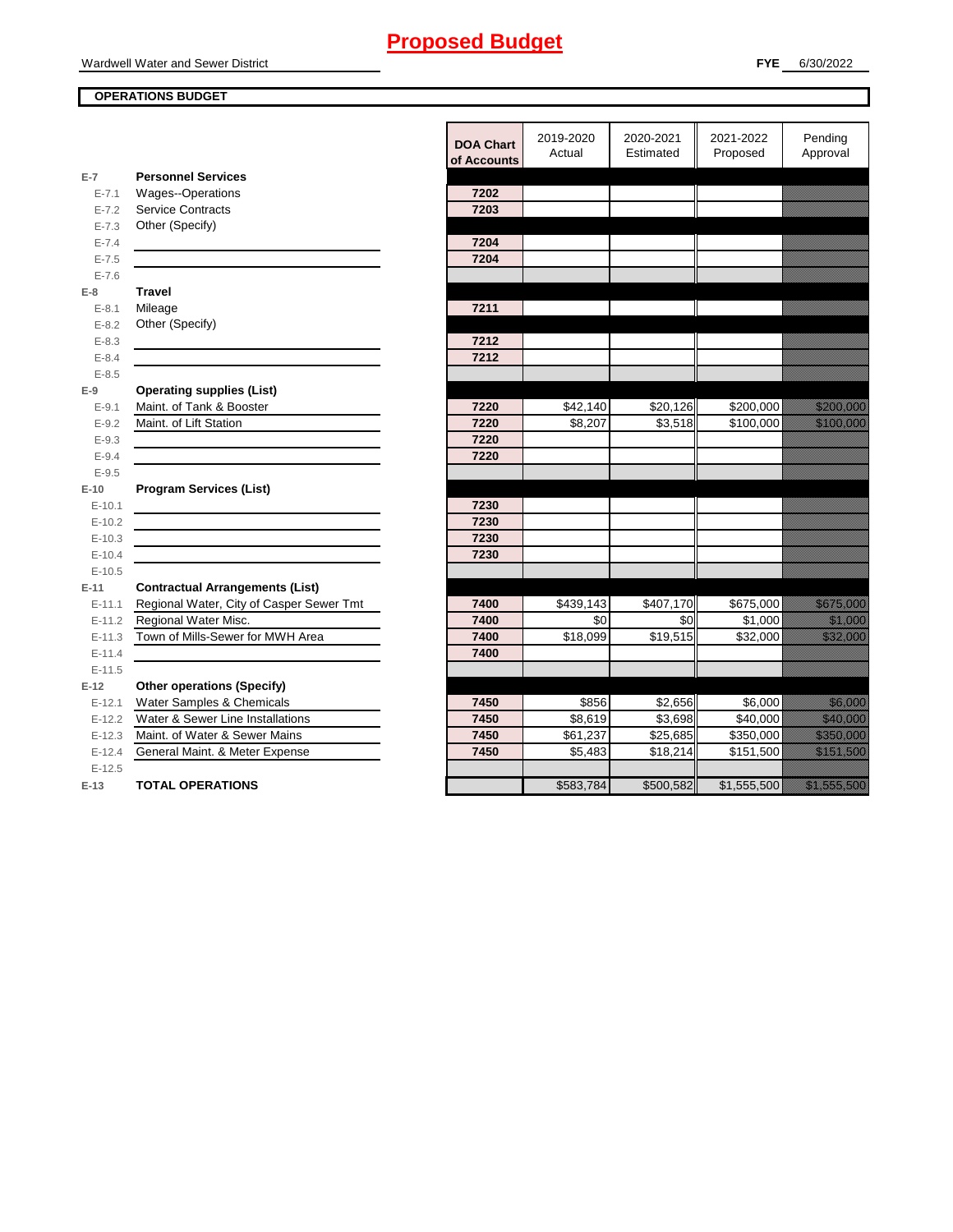#### **OPERATIONS BUDGET**

|                        |                                          | <b>DOA Chart</b><br>of Accounts | 2019-2020<br>Actual | 2020-2021<br>Estimated | 2021-2022<br>Proposed | Pending<br>Approval                                                                                                  |
|------------------------|------------------------------------------|---------------------------------|---------------------|------------------------|-----------------------|----------------------------------------------------------------------------------------------------------------------|
| $E-7$                  | <b>Personnel Services</b>                |                                 |                     |                        |                       |                                                                                                                      |
| $E - 7.1$              | <b>Wages--Operations</b>                 | 7202                            |                     |                        |                       |                                                                                                                      |
| $E - 7.2$              | <b>Service Contracts</b>                 | 7203                            |                     |                        |                       |                                                                                                                      |
| $E - 7.3$              | Other (Specify)                          |                                 |                     |                        |                       |                                                                                                                      |
| $E - 7.4$              |                                          | 7204                            |                     |                        |                       |                                                                                                                      |
| $E - 7.5$              |                                          | 7204                            |                     |                        |                       |                                                                                                                      |
| $E - 7.6$              |                                          |                                 |                     |                        |                       |                                                                                                                      |
| $E-8$                  | <b>Travel</b>                            | 7211                            |                     |                        |                       |                                                                                                                      |
| $E - 8.1$              | Mileage                                  |                                 |                     |                        |                       |                                                                                                                      |
| $E - 8.2$<br>$E - 8.3$ | Other (Specify)                          | 7212                            |                     |                        |                       |                                                                                                                      |
| $E - 8.4$              |                                          | 7212                            |                     |                        |                       |                                                                                                                      |
| $E - 8.5$              |                                          |                                 |                     |                        |                       |                                                                                                                      |
| $E-9$                  | <b>Operating supplies (List)</b>         |                                 |                     |                        |                       |                                                                                                                      |
| $E - 9.1$              | Maint. of Tank & Booster                 | 7220                            | \$42,140            | \$20,126               | \$200,000             | a katalunggal sa katalunggal sa katalunggal sa katalunggal sa katalunggal sa katalunggal sa katalunggal sa kat       |
| $E - 9.2$              | Maint. of Lift Station                   | 7220                            | \$8,207             | \$3,518                | \$100,000             | <u> Karl Barat (</u>                                                                                                 |
| $E - 9.3$              |                                          | 7220                            |                     |                        |                       |                                                                                                                      |
| $E-9.4$                |                                          | 7220                            |                     |                        |                       |                                                                                                                      |
| $E - 9.5$              |                                          |                                 |                     |                        |                       |                                                                                                                      |
| $E-10$                 | <b>Program Services (List)</b>           |                                 |                     |                        |                       |                                                                                                                      |
| $E-10.1$               |                                          | 7230                            |                     |                        |                       |                                                                                                                      |
| $E-10.2$               |                                          | 7230                            |                     |                        |                       |                                                                                                                      |
| $E-10.3$               |                                          | 7230                            |                     |                        |                       |                                                                                                                      |
| $E-10.4$               |                                          | 7230                            |                     |                        |                       |                                                                                                                      |
| $E-10.5$               |                                          |                                 |                     |                        |                       |                                                                                                                      |
| $E-11$                 | <b>Contractual Arrangements (List)</b>   |                                 |                     |                        |                       |                                                                                                                      |
| $E - 11.1$             | Regional Water, City of Casper Sewer Tmt | 7400                            | \$439,143           | \$407,170              | \$675,000             | a katalunggal sa katalunggal sa katalunggal sa katalunggal sa katalunggal sa katalunggal sa katalunggal sa kat       |
| $E-11.2$               | Regional Water Misc.                     | 7400                            | \$0                 | \$0                    | \$1,000               | <u> Hillian Sta</u>                                                                                                  |
| $E - 11.3$             | Town of Mills-Sewer for MWH Area         | 7400                            | \$18,099            | \$19,515               | \$32,000              | <u> Kalendari Serika Ba</u>                                                                                          |
| $E - 11.4$             |                                          | 7400                            |                     |                        |                       |                                                                                                                      |
| $E-11.5$               |                                          |                                 |                     |                        |                       |                                                                                                                      |
| $E-12$                 | <b>Other operations (Specify)</b>        |                                 |                     |                        |                       |                                                                                                                      |
| $E-12.1$               | Water Samples & Chemicals                | 7450                            | \$856               | \$2,656                | \$6,000               | <u> Hillian Sta</u>                                                                                                  |
| $E-12.2$               | Water & Sewer Line Installations         | 7450                            | \$8,619             | \$3,698                | \$40,000              | <u> Karl Sara</u>                                                                                                    |
| $E-12.3$               | Maint, of Water & Sewer Mains            | 7450                            | \$61,237            | \$25,685               | \$350,000             | <u> Elizabeth Charles Charles Charles Charles Charles Charles Charles Charles Charles Charles Charles Charles Ch</u> |
| $E-12.4$               | General Maint. & Meter Expense           | 7450                            | \$5,483             | \$18,214               | \$151,500             | <u> Elizabeth Carl</u>                                                                                               |
| $E-12.5$               |                                          |                                 |                     |                        |                       |                                                                                                                      |
| $E-13$                 | <b>TOTAL OPERATIONS</b>                  |                                 | \$583,784           | \$500,582              | \$1,555,500           |                                                                                                                      |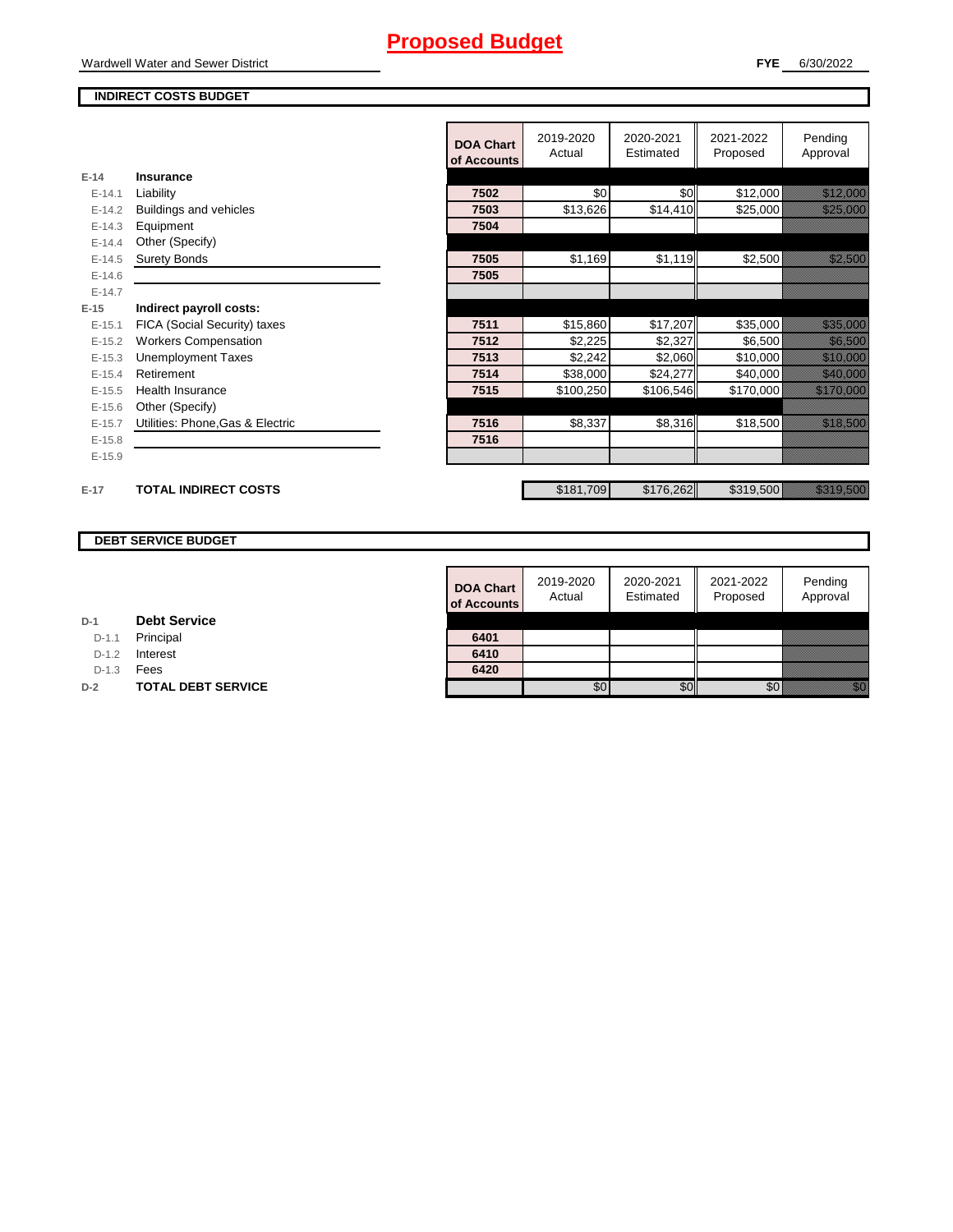#### Wardwell Water and Sewer District

#### **INDIRECT COSTS BUDGET**

|            |                                  | <b>DOA Chart</b><br>of Accounts | 2019-2020<br>Actual | 2020-2021<br>Estimated | 2021-2022<br>Proposed | Pending<br>Approval                                                                                            |
|------------|----------------------------------|---------------------------------|---------------------|------------------------|-----------------------|----------------------------------------------------------------------------------------------------------------|
| $E-14$     | Insurance                        |                                 |                     |                        |                       |                                                                                                                |
| $E-14.1$   | Liability                        | 7502                            | \$0                 | \$0                    | \$12,000              | <u> Karl Sara</u>                                                                                              |
| $E-14.2$   | Buildings and vehicles           | 7503                            | \$13,626            | \$14,410               | \$25,000              | <u> Karl Sara</u>                                                                                              |
| $E-14.3$   | Equipment                        | 7504                            |                     |                        |                       |                                                                                                                |
| $E - 14.4$ | Other (Specify)                  |                                 |                     |                        |                       |                                                                                                                |
| $E-14.5$   | <b>Surety Bonds</b>              | 7505                            | \$1,169             | \$1,119                | \$2,500               | <u> Kalifornia (</u>                                                                                           |
| $E-14.6$   |                                  | 7505                            |                     |                        |                       |                                                                                                                |
| $E-14.7$   |                                  |                                 |                     |                        |                       |                                                                                                                |
| $E-15$     | Indirect payroll costs:          |                                 |                     |                        |                       |                                                                                                                |
| $E-15.1$   | FICA (Social Security) taxes     | 7511                            | \$15,860            | \$17,207               | \$35,000              | a katalunggal sa katalunggal sa katalunggal sa katalunggal sa katalunggal sa katalunggal sa katalunggal sa kat |
| $E-15.2$   | <b>Workers Compensation</b>      | 7512                            | \$2,225             | \$2,327                | \$6,500               | <u> Kalifornia (</u>                                                                                           |
| $E-15.3$   | <b>Unemployment Taxes</b>        | 7513                            | \$2,242             | \$2,060                | \$10,000              | <u> Hillian San B</u>                                                                                          |
| $E-15.4$   | Retirement                       | 7514                            | \$38,000            | \$24,277               | \$40,000              | <u> Martin Sa</u>                                                                                              |
| $E-15.5$   | <b>Health Insurance</b>          | 7515                            | \$100,250           | \$106,546              | \$170,000             | <u> Eliminazione di Sergi Sta</u>                                                                              |
| $E-15.6$   | Other (Specify)                  |                                 |                     |                        |                       |                                                                                                                |
| $E-15.7$   | Utilities: Phone, Gas & Electric | 7516                            | \$8,337             | \$8,316                | \$18,500              |                                                                                                                |
| $E-15.8$   |                                  | 7516                            |                     |                        |                       |                                                                                                                |
| $E-15.9$   |                                  |                                 |                     |                        |                       |                                                                                                                |
| $E-17$     | <b>TOTAL INDIRECT COSTS</b>      |                                 | \$181,709           | \$176,262              | \$319,500             |                                                                                                                |

#### **DEBT SERVICE BUDGET**

| <b>DOA Chart</b><br>of Accounts | 2019-2020<br>Actual | 2020-2021<br>Estimated | 2021-2022<br>Proposed | Pending<br>Approval |
|---------------------------------|---------------------|------------------------|-----------------------|---------------------|
|                                 |                     |                        |                       |                     |
| 6401                            |                     |                        |                       |                     |
| 6410                            |                     |                        |                       |                     |
| 6420                            |                     |                        |                       |                     |
|                                 |                     |                        |                       |                     |

D-1.1 Principal

D-1.2 **Interest** 

D-1.3 **Fees** 

**D-2 TOTAL DEBT SERVICE**